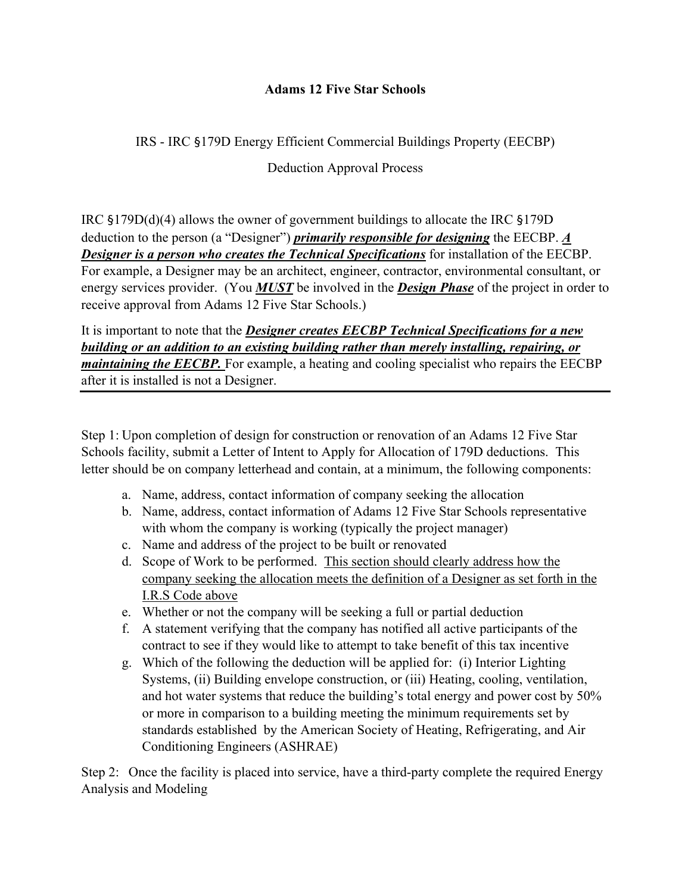## **Adams 12 Five Star Schools**

## IRS - IRC §179D Energy Efficient Commercial Buildings Property (EECBP)

Deduction Approval Process

IRC §179D(d)(4) allows the owner of government buildings to allocate the IRC §179D deduction to the person (a "Designer") *primarily responsible for designing* the EECBP. *A Designer is a person who creates the Technical Specifications* for installation of the EECBP. For example, a Designer may be an architect, engineer, contractor, environmental consultant, or energy services provider. (You *MUST* be involved in the *Design Phase* of the project in order to receive approval from Adams 12 Five Star Schools.)

It is important to note that the *Designer creates EECBP Technical Specifications for a new building or an addition to an existing building rather than merely installing, repairing, or maintaining the EECBP*. For example, a heating and cooling specialist who repairs the EECBP after it is installed is not a Designer.

Step 1: Upon completion of design for construction or renovation of an Adams 12 Five Star Schools facility, submit a Letter of Intent to Apply for Allocation of 179D deductions. This letter should be on company letterhead and contain, at a minimum, the following components:

- a. Name, address, contact information of company seeking the allocation
- b. Name, address, contact information of Adams 12 Five Star Schools representative with whom the company is working (typically the project manager)
- c. Name and address of the project to be built or renovated
- d. Scope of Work to be performed. This section should clearly address how the company seeking the allocation meets the definition of a Designer as set forth in the I.R.S Code above
- e. Whether or not the company will be seeking a full or partial deduction
- f. A statement verifying that the company has notified all active participants of the contract to see if they would like to attempt to take benefit of this tax incentive
- g. Which of the following the deduction will be applied for: (i) Interior Lighting Systems, (ii) Building envelope construction, or (iii) Heating, cooling, ventilation, and hot water systems that reduce the building's total energy and power cost by 50% or more in comparison to a building meeting the minimum requirements set by standards established by the American Society of Heating, Refrigerating, and Air Conditioning Engineers (ASHRAE)

Step 2: Once the facility is placed into service, have a third-party complete the required Energy Analysis and Modeling